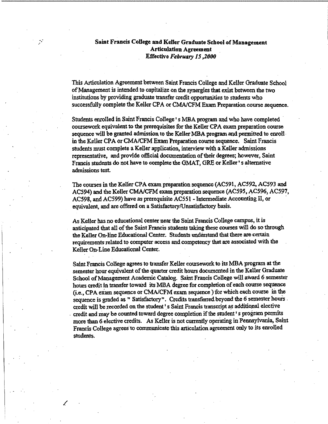## Saint Francis College and Keller Graduate School of Management Articulation Agreement Effective *February 15,2000*

This Articulation Agreement between Saint Francis College and Keller Graduate School of Management is intended to capitalize on the synergies that exist between the two institutions by providing graduate transfer credit opportunities to students who successfully complete the Keller CPA or CMA/CFM Exam Preparation course sequence.

Students enrolled in Saint Francis College' s MBA program and who have completed coursework equivalent to the prerequisites for the Keller CPA exam preparation course sequence will be granted admission to the Keller MBA program and permitted to enroll in the Keller CPA or CMA/CFM Exam Preparation course sequence. Saint Francis students must complete a Keller application, interview with a Keller admissions representative, and provide official documentation of their degrees; however, Saint Francis students do not have to complete the GMAT, GRE or Keller • s alternative admissions test

The courses in the Keller CPA exam preparation sequence (AC591, AC592, AC593 and AC594) and the Keller CMA/CFM exam preparation sequence (AC595, AC596, AC597, AC598, and AC599) have as prerequisite AC551 - Intermediate Accounting II, or equivalent, and are offered on a Satisfactory/Unsatisfactory basis.

As Keller has no educational center near the Saint Francis College campus, it is anticipated that all of the Saint Francis students taking these courses will do so through the Keller On-line Educational Center. Students understand that there are certain requirements related to computer access and competency that are associated with the Keller On-Line Educational Center.

Saint Francis College agrees to transfer Keller coursework to its MBA program at the semester hour equivalent of the quarter credit hours documented in the Keller Graduate School of Management Academic Catalog. Saint Francis College will award 6 semester hours credit in transfer toward its MBA degree for completion of each course sequence (i.e., CPA exam sequence or CMA/CFM exam sequence) for which each course in the sequence is graded as " Satisfactory". Credits transferred beyond the 6 semester hours. credit will be recorded on the student • s Saint Francis transcript as additional elective credit and may be counted toward degree completion if the student' s program permits more than 6 elective credits. As Keller is not currently operating in Pennsylvania, Saint Francis College agrees to communicate this articulation agreement only to its enrolled students.

**/**